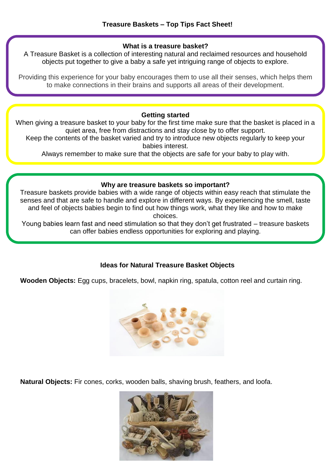# **What is a treasure basket?**

A Treasure Basket is a collection of interesting natural and reclaimed resources and household objects put together to give a baby a safe yet intriguing range of objects to explore.

Providing this experience for your baby encourages them to use all their senses, which helps them to make connections in their brains and supports all areas of their development.

### **Getting started**

When giving a treasure basket to your baby for the first time make sure that the basket is placed in a quiet area, free from distractions and stay close by to offer support.

Keep the contents of the basket varied and try to introduce new objects regularly to keep your babies interest.

Always remember to make sure that the objects are safe for your baby to play with.

## **Why are treasure baskets so important?**

Treasure baskets provide babies with a wide range of objects within easy reach that stimulate the senses and that are safe to handle and explore in different ways. By experiencing the smell, taste and feel of objects babies begin to find out how things work, what they like and how to make choices.

Young babies learn fast and need stimulation so that they don't get frustrated – treasure baskets can offer babies endless opportunities for exploring and playing.

# **Ideas for Natural Treasure Basket Objects**

**Wooden Objects:** Egg cups, bracelets, bowl, napkin ring, spatula, cotton reel and curtain ring.



**Natural Objects:** Fir cones, corks, wooden balls, shaving brush, feathers, and loofa.